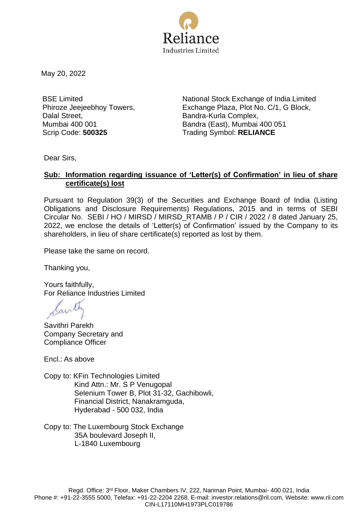

May 20, 2022

BSE Limited Phiroze Jeejeebhoy Towers, Dalal Street, Mumbai 400 001

National Stock Exchange of India Limited Exchange Plaza, Plot No. C/1, G Block, Bandra-Kurla Complex, Bandra (East), Mumbai 400 051 Scrip Code: **500325** Trading Symbol: **RELIANCE**

Dear Sirs,

## **Sub: Information regarding issuance of 'Letter(s) of Confirmation' in lieu of share certificate(s) lost**

Pursuant to Regulation 39(3) of the Securities and Exchange Board of India (Listing Obligations and Disclosure Requirements) Regulations, 2015 and in terms of SEBI Circular No. SEBI / HO / MIRSD / MIRSD\_RTAMB / P / CIR / 2022 / 8 dated January 25, 2022, we enclose the details of 'Letter(s) of Confirmation' issued by the Company to its shareholders, in lieu of share certificate(s) reported as lost by them.

Please take the same on record.

Thanking you,

Yours faithfully, For Reliance Industries Limited

Savithri Parekh Company Secretary and Compliance Officer

Encl.: As above

- Copy to: KFin Technologies Limited Kind Attn.: Mr. S P Venugopal Selenium Tower B, Plot 31-32, Gachibowli, Financial District, Nanakramguda, Hyderabad - 500 032, India
- Copy to: The Luxembourg Stock Exchange 35A boulevard Joseph II, L-1840 Luxembourg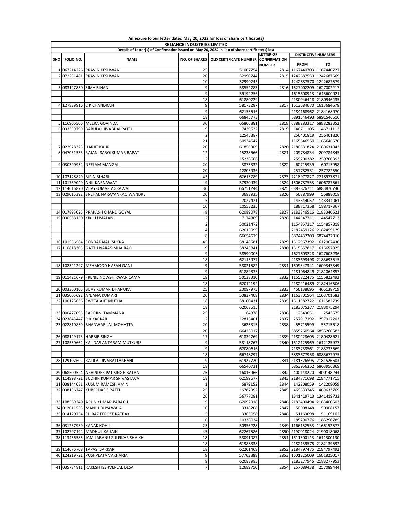|     | <b>RELIANCE INDUSTRIES LIMITED</b><br>Details of Letter(s) of Confirmation issued on May 20, 2022 in lieu of share certificate(s) lost |                                          |                          |                                                     |                  |                                |                                                |  |  |
|-----|----------------------------------------------------------------------------------------------------------------------------------------|------------------------------------------|--------------------------|-----------------------------------------------------|------------------|--------------------------------|------------------------------------------------|--|--|
|     |                                                                                                                                        |                                          |                          |                                                     | <b>LETTER OF</b> |                                | <b>DISTINCTIVE NUMBERS</b>                     |  |  |
| SNO | FOLIO NO.                                                                                                                              | <b>NAME</b>                              |                          | NO. OF SHARES   OLD CERTIFICATE NUMBER CONFIRMATION |                  |                                |                                                |  |  |
|     |                                                                                                                                        |                                          |                          |                                                     | <b>NUMBER</b>    | <b>FROM</b>                    | то                                             |  |  |
|     |                                                                                                                                        | 1067214226 PRAVIN KESHWANI               | 25                       | 51007754                                            |                  | 2814 1167440703 1167440727     |                                                |  |  |
|     | 2072231481                                                                                                                             | <b>PRAVIN KESHWANI</b>                   | 20                       | 52990744                                            |                  | 2815 1242687550 1242687569     |                                                |  |  |
|     |                                                                                                                                        | 3 083127830 SIMA BINANI                  | 10<br>9                  | 52990745<br>58552783                                |                  | 2816 1627002209 1627002217     | 1242687570 1242687579                          |  |  |
|     |                                                                                                                                        |                                          | 9                        | 59192256                                            |                  |                                | 1615600913 1615600921                          |  |  |
|     |                                                                                                                                        |                                          | 18                       | 61880729                                            |                  |                                | 2180946418 2180946435                          |  |  |
|     |                                                                                                                                        | 4 127839916 C K CHANDRAN                 | 9                        | 58173287                                            | 2817             |                                | 1613684670 1613684678                          |  |  |
|     |                                                                                                                                        |                                          | 9                        | 62153516                                            |                  |                                | 2184168962 2184168970                          |  |  |
|     |                                                                                                                                        |                                          | 18                       | 66845773                                            |                  |                                | 6891546493 6891546510                          |  |  |
|     |                                                                                                                                        | 5 116906506 MEERA GOVINDA                | 36                       | 66806881                                            |                  | 2818 6888283317                | 6888283352                                     |  |  |
|     |                                                                                                                                        | 6 033359799 BABULAL JIVABHAI PATEL       | 9                        | 7439522                                             | 2819             | 146711105                      | 146711113                                      |  |  |
|     |                                                                                                                                        |                                          | $\overline{2}$           | 12545387                                            |                  | 256401819                      | 256401820                                      |  |  |
|     |                                                                                                                                        |                                          | 21                       | 50934547                                            |                  |                                | 1165646550 1165646570                          |  |  |
|     |                                                                                                                                        | 7 022928325 HARJIT KAUR                  | 20                       | 61856309                                            |                  | 2820 2180631824 2180631843     |                                                |  |  |
|     |                                                                                                                                        | 8 047051533 RAJANI SAROJKUMAR BAPAT      | 12                       | 15238666                                            | 2821             | 209784834                      | 209784845                                      |  |  |
|     |                                                                                                                                        |                                          | 12                       | 15238666                                            |                  | 259700382                      | 259700393                                      |  |  |
|     |                                                                                                                                        | 9 030390954 NEELAM MANGAL                | 20                       | 3875332                                             | 2822             | 60715939                       | 60715958                                       |  |  |
|     |                                                                                                                                        |                                          | 20                       | 12803936                                            |                  | 257782531                      | 257782550                                      |  |  |
|     |                                                                                                                                        | 10 102128829 BIPIN BIHARI                | 45                       | 62613789                                            | 2823             | 2218977827                     | 2218977871                                     |  |  |
|     |                                                                                                                                        | 11 101769049 ANIL KARNAWAT               | 9                        | 57930439                                            | 2824             | 1606787553                     | 1606787561                                     |  |  |
|     | 12 114616870                                                                                                                           | VIJAYKUMAR AGRAWAL                       | 36                       | 66751244                                            | 2825             | 6883876711                     | 6883876746                                     |  |  |
|     |                                                                                                                                        | 13 029015392 SNEHAL NARAYANRAO WANDRE    | 20<br>5                  | 3683935<br>7027421                                  | 2826             | 56887999                       | 56888018<br>143344061                          |  |  |
|     |                                                                                                                                        |                                          | 10                       | 10553235                                            |                  | 143344057<br>188717358         | 188717367                                      |  |  |
|     |                                                                                                                                        | 14 017893025 PRAKASH CHAND GOYAL         | 8                        | 62089078                                            |                  | 2183346516                     | 2183346523                                     |  |  |
|     |                                                                                                                                        | 15 030568150 KIKLU I MALANI              | $\overline{2}$           | 7174809                                             | 2827<br>2828     | 144547711                      | 144547712                                      |  |  |
|     |                                                                                                                                        |                                          | $\overline{2}$           | 50021472                                            |                  | 1154857317                     | 1154857318                                     |  |  |
|     |                                                                                                                                        |                                          | 4                        | 62015999                                            |                  |                                | 2182459126 2182459129                          |  |  |
|     |                                                                                                                                        |                                          | 8                        | 66654579                                            |                  |                                | 6874437303 6874437310                          |  |  |
|     |                                                                                                                                        | 16 101556584 SONDARAIAH SUKKA            | 45                       | 58148581                                            | 2829             |                                | 1612967392 1612967436                          |  |  |
|     | 17 110818303                                                                                                                           | GATTU NARASIMHA RAO                      | 9                        | 58243841                                            |                  | 2830 1615657817 1615657825     |                                                |  |  |
|     |                                                                                                                                        |                                          | 9                        | 58590003                                            |                  |                                | 1627603228 1627603236                          |  |  |
|     |                                                                                                                                        |                                          | 18                       | 62115977                                            |                  |                                | 2183693498 2183693515                          |  |  |
|     |                                                                                                                                        | 18 102321297 MEHMOOD HASAN GANJ          | 9                        | 58021582                                            |                  | 2831   1609347341   1609347349 |                                                |  |  |
|     |                                                                                                                                        |                                          | 9                        | 61889333                                            |                  |                                | 2181064849 2181064857                          |  |  |
|     |                                                                                                                                        | 19 011421679 FRENIE NOWSHIRWAN CAMA      | 18                       | 50138310                                            |                  | 2832 1155822475                | 1155822492                                     |  |  |
|     |                                                                                                                                        |                                          | 18                       | 62012192                                            |                  |                                | 2182416489 2182416506                          |  |  |
|     |                                                                                                                                        | 20 003360105 BIJAY KUMAR DHANUKA         | 25                       | 20087975                                            | 2833             | 466138695                      | 466138719                                      |  |  |
|     |                                                                                                                                        | 21 035005692 ANJANA KUMARI               | 20                       | 50837408                                            |                  | 2834 1163701564 1163701583     |                                                |  |  |
| 22  |                                                                                                                                        | 100125636 SWETA AJIT MUTHA               | 18                       | 58100431                                            | 2835             | 1611582722                     | 1611582739                                     |  |  |
|     |                                                                                                                                        |                                          | 18                       | 62068515                                            |                  | 2183075277                     | 2183075294                                     |  |  |
|     |                                                                                                                                        | 23 000477095 SAROJINI TAMMANA            | 25                       | 64378                                               | 2836             | 2543651                        | 2543675                                        |  |  |
| 24  |                                                                                                                                        | 023843447 R K KACKAR                     | 12                       | 12813401                                            | 2837             | 257917192                      | 257917203                                      |  |  |
| 25  | 022810839                                                                                                                              | <b>BHANWAR LAL MOHATTA</b>               | 20                       | 3625315                                             | 2838             | 55715599                       | 55715618                                       |  |  |
|     |                                                                                                                                        |                                          | 20                       | 66428017                                            |                  |                                | 6855260564 6855260583                          |  |  |
|     |                                                                                                                                        | 26 088149173   HARBIR SINGH              | 17                       | 61839769                                            |                  |                                | 2839   2180428605   2180428621                 |  |  |
|     |                                                                                                                                        | 27 108550662 KALIDAS ANTARAM MUTKURE     | 9<br>9                   | 58118767                                            |                  |                                | 2840   1612125969   1612125977                 |  |  |
|     |                                                                                                                                        |                                          | 18                       | 62080616<br>66748797                                |                  |                                | 2183233561 2183233569                          |  |  |
|     |                                                                                                                                        | 28 129107602 RATILAL JIVARAJ LAKHANI     | 9                        | 61927720                                            | 2841             |                                | 6883677958 6883677975<br>2181526595 2181526603 |  |  |
|     |                                                                                                                                        |                                          | 18                       | 66540731                                            |                  |                                | 6863956352 6863956369                          |  |  |
|     |                                                                                                                                        | 29 068500524 ARVINDER PAL SINGH BATRA    | 25                       | 16016966                                            | 2842             | 400148220                      | 400148244                                      |  |  |
|     |                                                                                                                                        | 30 114998721 SUDHIR KUMAR SRIVASTAVA     | 18                       | 62199677                                            |                  |                                | 2843 2184771698 2184771715                     |  |  |
|     |                                                                                                                                        | 31 038144081 KUSUM RAMESH AMIN           | $\mathbf 1$              | 6879152                                             | 2844             |                                | 142208059 142208059                            |  |  |
|     |                                                                                                                                        | 32 038136747 KUBERDAS S PATEL            | 25                       | 16787992                                            | 2845             | 469633745                      | 469633769                                      |  |  |
|     |                                                                                                                                        |                                          | 20                       | 56777081                                            |                  |                                | 1341419713 1341419732                          |  |  |
|     |                                                                                                                                        | 33 108569240 ARUN KUMAR PARACH           | 9                        | 62092918                                            | 2846             |                                | 2183400494 2183400502                          |  |  |
|     |                                                                                                                                        | 34 012011555 MANJU DHYAWALA              | 10                       | 3318208                                             | 2847             | 50908148                       | 50908157                                       |  |  |
|     |                                                                                                                                        | 35 014120734 SHIRAZ FEROZE KATRAK        | 5                        | 3363058                                             | 2848             | 51169098                       | 51169102                                       |  |  |
|     |                                                                                                                                        |                                          | 10                       | 10338024                                            |                  | 185290776                      | 185290785                                      |  |  |
|     |                                                                                                                                        | 36 031237939 KANAK KOHLI                 | 25                       | 50956228                                            |                  |                                | 2849   1166152553   1166152577                 |  |  |
|     |                                                                                                                                        | 37 102797194 MADHULIKA JAIN              | 45                       | 62267586                                            |                  |                                | 2850 2190018024 2190018068                     |  |  |
|     |                                                                                                                                        | 38 113456585 JJAMILABANU ZULFIKAR SHAIKH | 18                       | 58091087                                            |                  |                                | 2851 1611300113 1611300130                     |  |  |
|     |                                                                                                                                        |                                          | 18                       | 61988338                                            |                  |                                | 2182139575 2182139592                          |  |  |
|     |                                                                                                                                        | 39 114676708 TAPASI SARKAR               | 18                       | 62201468                                            | 2852             |                                | 2184797475 2184797492                          |  |  |
|     |                                                                                                                                        | 40 124219721 PUSHPLATA VAKHARIA          | 9                        | 57763888                                            |                  |                                | 2853   1601825009   1601825017                 |  |  |
|     |                                                                                                                                        |                                          | 9                        | 62083985                                            |                  |                                | 2183277945 2183277953                          |  |  |
|     |                                                                                                                                        | 41 035784811 RAKESH ISSHVERLAL DESAI     | $\overline{\phantom{a}}$ | 12689750                                            | 2854             | 257089438                      | 257089444                                      |  |  |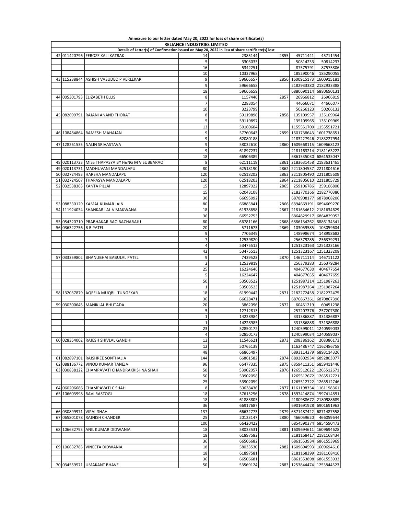| <b>RELIANCE INDUSTRIES LIMITED</b><br>Details of Letter(s) of Confirmation issued on May 20, 2022 in lieu of share certificate(s) lost |                                                             |                     |                      |      |                                |                                                |  |
|----------------------------------------------------------------------------------------------------------------------------------------|-------------------------------------------------------------|---------------------|----------------------|------|--------------------------------|------------------------------------------------|--|
|                                                                                                                                        |                                                             |                     |                      |      |                                |                                                |  |
|                                                                                                                                        | 42 011420796 FEROZE KALI KATRAK                             | 14                  | 2385144              | 2855 | 45711441                       | 45711454                                       |  |
|                                                                                                                                        |                                                             | 5                   | 3303033              |      | 50814233                       | 50814237                                       |  |
|                                                                                                                                        |                                                             | 16                  | 5342251              |      | 87575791                       | 87575806                                       |  |
|                                                                                                                                        |                                                             | 10                  | 10337968             |      | 185290046                      | 185290055                                      |  |
|                                                                                                                                        | 43 115238844 ASHISH VASUDEO P VERLEKAR                      | 9                   | 59666657             |      | 2856 1600915173                | 1600915181                                     |  |
|                                                                                                                                        |                                                             | 9                   | 59666658             |      |                                | 2182933380 2182933388                          |  |
|                                                                                                                                        |                                                             | 18                  | 59666659             |      | 6880690114                     | 6880690131                                     |  |
|                                                                                                                                        | 44 005301793 ELIZABETH ELLIS                                | 8<br>$\overline{7}$ | 1157446              | 2857 | 26966812                       | 26966819                                       |  |
|                                                                                                                                        |                                                             |                     | 2283054              |      | 44666071                       | 44666077                                       |  |
|                                                                                                                                        | 45 082699791 RAJANI ANAND THORAT                            | 10<br>8             | 3223799<br>59119896  |      | 50266123<br>135109957          | 50266132<br>135109964                          |  |
|                                                                                                                                        |                                                             | 5                   | 59119897             | 2858 | 135109965                      | 135109969                                      |  |
|                                                                                                                                        |                                                             | 13                  | 59160604             |      |                                | 1155551709 1155551721                          |  |
|                                                                                                                                        | 46 108484864 RAMESH MAHAJAN                                 | 9                   | 57760643             |      | 2859 1601738643 1601738651     |                                                |  |
|                                                                                                                                        |                                                             | 9                   | 62080188             |      |                                | 2183227946 2183227954                          |  |
|                                                                                                                                        | 47 128261535 NALIN SRIVASTAVA                               | 9                   | 58032610             |      | 2860   1609668115   1609668123 |                                                |  |
|                                                                                                                                        |                                                             | 9                   | 61897237             |      |                                | 2181163214 2181163222                          |  |
|                                                                                                                                        |                                                             | 18                  | 66506389             |      |                                | 6861535030 6861535047                          |  |
|                                                                                                                                        | 48 020113723 MISS THAPASYA BY F&NG M V SUBBARAO             | 8                   | 62111119             |      | 2861 2183631458 2183631465     |                                                |  |
|                                                                                                                                        | 49 020113731 MADHUVANI MANDALAPU                            | 80                  | 62518190             |      | 2862 2211804537 2211804616     |                                                |  |
|                                                                                                                                        | 50 032724493 HARSHA MANDALAPU                               | 120                 | 62518202             |      | 2863 2211805490 2211805609     |                                                |  |
|                                                                                                                                        | 51 032724507 THAPASYA MANDALAPU                             | 120                 | 62518203             | 2864 |                                | 2211805610 2211805729                          |  |
|                                                                                                                                        | 52 032538363 KANTA PILLAI                                   | 15                  | 12897022             | 2865 | 259106786                      | 259106800                                      |  |
|                                                                                                                                        |                                                             | 15                  | 62043108             |      |                                | 2182770366 2182770380                          |  |
|                                                                                                                                        |                                                             | 30                  | 66695092             |      | 6878908177                     | 6878908206                                     |  |
|                                                                                                                                        | 53 088330129 KAMAL KUMAR JAIN                               | 80                  | 66885841             | 2866 | 6894669191                     | 6894669270                                     |  |
|                                                                                                                                        | 54 111924034 SHANKAR LAL V MAKWANA                          | 18                  | 61938658             | 2867 | 2181634612                     | 2181634629                                     |  |
|                                                                                                                                        |                                                             | 36                  | 66552753             |      | 6864829917                     | 6864829952                                     |  |
|                                                                                                                                        | 55 054320710 PRABHAKAR RAO BACHARAJU                        | 80                  | 66781166             | 2868 | 6886134262                     | 6886134341                                     |  |
| 56 036322756 B B PATEL                                                                                                                 |                                                             | 20                  | 5711673              | 2869 | 103059585                      | 103059604                                      |  |
|                                                                                                                                        |                                                             | 9                   | 7706349              |      | 148998674                      | 148998682                                      |  |
|                                                                                                                                        |                                                             | $\overline{7}$      | 12539820             |      | 256379285                      | 256379291                                      |  |
|                                                                                                                                        |                                                             | 4                   | 53475512             |      | 1251323163                     | 1251323166                                     |  |
|                                                                                                                                        |                                                             | 42                  | 53475513             |      | 1251323167                     | 1251323208                                     |  |
|                                                                                                                                        | 57 033359802   BHANUBHAI BABULAL PATEL                      | 9                   | 7439523              | 2870 | 146711114                      | 146711122                                      |  |
|                                                                                                                                        |                                                             | $\overline{2}$      | 12539819             |      | 256379283                      | 256379284                                      |  |
|                                                                                                                                        |                                                             | 25                  | 16224646             |      | 404677630                      | 404677654                                      |  |
|                                                                                                                                        |                                                             | 5                   | 16224647             |      | 404677655                      | 404677659                                      |  |
|                                                                                                                                        |                                                             | 50                  | 53503522             |      | 1251987214                     | 1251987263                                     |  |
|                                                                                                                                        |                                                             | $\mathbf 1$         | 53503523             |      | 1251987264                     | 1251987264                                     |  |
|                                                                                                                                        | 58 132037879 AQEELA MUQBIL TUNGEKAR                         | 18                  | 61999442             |      | 2871 2182272458                | 2182272475                                     |  |
|                                                                                                                                        |                                                             | 36                  | 66628471             |      | 6870867361                     | 6870867396                                     |  |
|                                                                                                                                        | 59 030300645   MANIKLAL BHUTADA                             | 20                  | 3862096              | 2872 | 60451219                       | 60451238                                       |  |
|                                                                                                                                        |                                                             | 5                   | 12712813             |      | 257207376                      | 257207380                                      |  |
|                                                                                                                                        |                                                             | $\mathbf{1}$        | 14228984             |      | 331386887                      | 331386887                                      |  |
|                                                                                                                                        |                                                             | $\mathbf 1$         | 14228985             |      | 331386888                      | 331386888                                      |  |
|                                                                                                                                        |                                                             | 23                  | 52850172             |      | 1240599011                     | 1240599033                                     |  |
|                                                                                                                                        |                                                             | $\sqrt{4}$          | 52850173             |      |                                | 1240599034 1240599037                          |  |
|                                                                                                                                        | 60 028354002 RAJESH SHIVLAL GANDHI                          | 12                  | 11546621             | 2873 |                                | 208386162 208386173                            |  |
|                                                                                                                                        |                                                             | 12                  | 50765139             |      |                                | 1162486747 1162486758                          |  |
|                                                                                                                                        |                                                             | 48                  | 66865497             |      |                                | 6893114279 6893114326                          |  |
|                                                                                                                                        | 61 082897101 RAJSHREE SONTHALIA                             | 144                 | 66861582             | 2874 |                                | 6892802934 6892803077                          |  |
|                                                                                                                                        | 62 088136772 VINOD KUMAR TANEJA                             | 96                  | 66477335             | 2875 |                                | 6859411351 6859411446                          |  |
|                                                                                                                                        | 63 030838122 CHAMPAVATI CHANDRAKRISHNA SHAH                 | 50                  | 53902057             |      |                                | 2876   1265512622   1265512671                 |  |
|                                                                                                                                        |                                                             | 50                  | 53902058             |      |                                | 1265512672 1265512721                          |  |
|                                                                                                                                        |                                                             | 25                  | 53902059             |      |                                | 1265512722 1265512746<br>1161198354 1161198361 |  |
|                                                                                                                                        | 64 060206686 CHAMPAVATI C SHAH<br>65 106603998 RAVI RASTOGI | 8<br>18             | 50638436             | 2877 |                                | 2878 1597414874 1597414891                     |  |
|                                                                                                                                        |                                                             | 18                  | 57615256             |      |                                |                                                |  |
|                                                                                                                                        |                                                             | 36                  | 61883803             |      |                                | 2180988672 2180988689<br>6901691928 6901691963 |  |
|                                                                                                                                        | 66 030899971 VIPAL SHAH                                     | 137                 | 66917687<br>66632773 |      |                                | 2879 6871487422 6871487558                     |  |
|                                                                                                                                        | 67 065801078 RAJNISH CHANDER                                | 25                  | 20123147             | 2880 |                                | 466059620 466059644                            |  |
|                                                                                                                                        |                                                             | 100                 | 66420422             |      |                                | 6854590374 6854590473                          |  |
|                                                                                                                                        | 68 106632793 ANIL KUMAR DIDWANIA                            | 18                  | 58033531             |      |                                | 2881   1609694611   1609694628                 |  |
|                                                                                                                                        |                                                             | 18                  | 61897582             |      |                                | 2181168417 2181168434                          |  |
|                                                                                                                                        |                                                             | 36                  | 66506682             |      |                                | 6861553934 6861553969                          |  |
|                                                                                                                                        | 69 106632785 VINEETA DIDWANIA                               | 18                  | 58033530             |      |                                | 2882   1609694593   1609694610                 |  |
|                                                                                                                                        |                                                             | 18                  | 61897581             |      |                                | 2181168399 2181168416                          |  |
|                                                                                                                                        |                                                             | 36                  | 66506681             |      |                                | 6861553898 6861553933                          |  |
|                                                                                                                                        | 70 034559571 UMAKANT BHAVE                                  | 50                  | 53569124             |      |                                | 2883 1253844474 1253844523                     |  |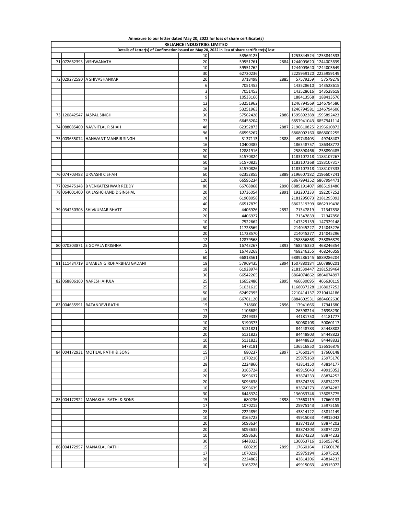| <b>RELIANCE INDUSTRIES LIMITED</b> |              |                                                                                                  |          |                      |      |                            |                            |
|------------------------------------|--------------|--------------------------------------------------------------------------------------------------|----------|----------------------|------|----------------------------|----------------------------|
|                                    |              | Details of Letter(s) of Confirmation issued on May 20, 2022 in lieu of share certificate(s) lost |          |                      |      |                            |                            |
|                                    |              |                                                                                                  | 10       | 53569125             |      |                            | 1253844524 1253844533      |
|                                    | 71 072662393 | VISHWANATH                                                                                       | 20       | 59551761             |      | 2884 1244003620 1244003639 |                            |
|                                    |              |                                                                                                  | 10       | 59551762             |      |                            | 1244003640 1244003649      |
|                                    |              |                                                                                                  | 30       | 62720236             |      |                            | 2225959120 2225959149      |
|                                    |              | 72 029272590 A SHIVASHANKAR                                                                      | 20       | 3718498              | 2885 | 57579259                   | 57579278                   |
|                                    |              |                                                                                                  | 6        | 7051452              |      | 143528610                  | 143528615                  |
|                                    |              |                                                                                                  | 3<br>9   | 7051453              |      | 143528616                  | 143528618                  |
|                                    |              |                                                                                                  | 12       | 10533166             |      | 188413568                  | 188413576                  |
|                                    |              |                                                                                                  |          | 53251962             |      | 1246794581                 | 1246794569 1246794580      |
|                                    |              | 73 120842547 JASPAL SINGH                                                                        | 26<br>36 | 53251963<br>57562428 |      | 2886 1595892388            | 1246794606<br>1595892423   |
|                                    |              |                                                                                                  | 72       | 66458204             |      | 6857941043                 | 6857941114                 |
|                                    | 74 088085400 | NAVNITLAL R SHAH                                                                                 | 48       | 62352873             | 2887 | 2196610825                 | 2196610872                 |
|                                    |              |                                                                                                  | 96       | 66595267             |      | 6868002160                 | 6868002255                 |
|                                    | 75 003635074 | HANWANT MANBIR SINGH                                                                             | 5        | 3137113              | 2888 | 49748403                   | 49748407                   |
|                                    |              |                                                                                                  | 16       | 10400385             |      | 186348757                  | 186348772                  |
|                                    |              |                                                                                                  | 20       | 12881916             |      | 258890466                  | 258890485                  |
|                                    |              |                                                                                                  | 50       | 51570824             |      |                            | 1183107218 1183107267      |
|                                    |              |                                                                                                  | 50       | 51570825             |      |                            | 1183107268 1183107317      |
|                                    |              |                                                                                                  | 16       | 51570826             |      |                            | 1183107318 1183107333      |
|                                    | 76 074703488 | <b>URVASHI C SHAH</b>                                                                            | 60       | 62352855             |      |                            | 2889 2196607182 2196607241 |
|                                    |              |                                                                                                  | 120      | 66595234             |      | 6867994352                 | 6867994471                 |
|                                    | 77 029475148 | <b>B VENKATESHWAR REDDY</b>                                                                      | 80       | 66768868             | 2890 | 6885191407                 | 6885191486                 |
|                                    | 78 064001400 | KAILASHCHAND D SINSHAL                                                                           | 20       | 10736054             | 2891 | 192207233                  | 192207252                  |
|                                    |              |                                                                                                  | 20       | 61908058             |      | 2181295073                 | 2181295092                 |
|                                    |              |                                                                                                  | 40       | 66517879             |      | 6862319399                 | 6862319438                 |
|                                    | 79 034250308 | SHIVKUMAR BHATT                                                                                  | 20       | 4406926              | 2892 | 71347819                   | 71347838                   |
|                                    |              |                                                                                                  | 20       | 4406927              |      | 71347839                   | 71347858                   |
|                                    |              |                                                                                                  | 10       | 7522662              |      | 147329139                  | 147329148                  |
|                                    |              |                                                                                                  | 50       | 11728569             |      | 214045227                  | 214045276                  |
|                                    |              |                                                                                                  | 20       | 11728570             |      | 214045277                  | 214045296                  |
|                                    |              |                                                                                                  | 12       | 12879568             |      | 258856868                  | 258856879                  |
|                                    | 80 070203871 | S GOPALA KRISHNA                                                                                 | 25       | 16743267             | 2893 | 468246330                  | 468246354                  |
|                                    |              |                                                                                                  | 5        | 16743268             |      | 468246355                  | 468246359                  |
|                                    |              |                                                                                                  | 60       | 66818561             |      | 6889286145                 | 6889286204                 |
|                                    |              | 81 111484719 UMABEN GIRDHARBHAI GADANI                                                           | 18       | 57969435             |      | 2894 1607880184            | 1607880201                 |
|                                    |              |                                                                                                  | 18       | 61928974             |      | 2181539447                 | 2181539464                 |
|                                    | 82 068806160 | <b>NARESH AHUJA</b>                                                                              | 36<br>25 | 66542265<br>16652486 | 2895 | 6864074862<br>466630095    | 6864074897<br>466630119    |
|                                    |              |                                                                                                  | 25       | 51031615             |      | 1168037228                 | 1168037252                 |
|                                    |              |                                                                                                  | 50       | 62497395             |      | 2210414137                 | 2210414186                 |
|                                    |              |                                                                                                  | 100      | 66761120             |      | 6884602531                 | 6884602630                 |
|                                    | 83 004635591 | <b>RATANDEVI RATHI</b>                                                                           | 15       | 718600               | 2896 | 17941666                   | 17941680                   |
|                                    |              |                                                                                                  | 17       | 1106689              |      | 26398214                   | 26398230                   |
|                                    |              |                                                                                                  | 28       | 2249333              |      | 44181750                   | 44181777                   |
|                                    |              |                                                                                                  | 10       | 3190373              |      | 50060108                   | 50060117                   |
|                                    |              |                                                                                                  | 20       | 5131821              |      | 84448783                   | 84448802                   |
|                                    |              |                                                                                                  | 20       | 5131822              |      | 84448803                   | 84448822                   |
|                                    |              |                                                                                                  | 10       | 5131823              |      | 84448823                   | 84448832                   |
|                                    |              |                                                                                                  | 30       | 6478181              |      | 136516850                  | 136516879                  |
|                                    |              | 84 004172931 MOTILAL RATHI & SONS                                                                | 15       | 680237               | 2897 | 17660134                   | 17660148                   |
|                                    |              |                                                                                                  | 17       | 1070216              |      | 25975160                   | 25975176                   |
|                                    |              |                                                                                                  | 28       | 2224860              |      | 43814150                   | 43814177                   |
|                                    |              |                                                                                                  | 10       | 3165724              |      | 49915043                   | 49915052                   |
|                                    |              |                                                                                                  | 20       | 5093637              |      | 83874233                   | 83874252                   |
|                                    |              |                                                                                                  | 20       | 5093638              |      | 83874253                   | 83874272                   |
|                                    |              |                                                                                                  | 10       | 5093639              |      | 83874273                   | 83874282                   |
|                                    |              |                                                                                                  | 30       | 6448324              |      | 136053746                  | 136053775                  |
|                                    |              | 85 004172922 MANAKLAL RATHI & SONS                                                               | 15       | 680236               | 2898 | 17660119                   | 17660133                   |
|                                    |              |                                                                                                  | 17<br>28 | 1070215              |      | 25975143                   | 25975159                   |
|                                    |              |                                                                                                  | 10       | 2224859<br>3165723   |      | 43814122<br>49915033       | 43814149<br>49915042       |
|                                    |              |                                                                                                  | 20       |                      |      | 83874183                   | 83874202                   |
|                                    |              |                                                                                                  | 20       | 5093634<br>5093635   |      | 83874203                   | 83874222                   |
|                                    |              |                                                                                                  | 10       | 5093636              |      | 83874223                   | 83874232                   |
|                                    |              |                                                                                                  | 30       | 6448323              |      | 136053716                  | 136053745                  |
|                                    | 86 004172957 | MANAKLAL RATHI                                                                                   | 15       | 680239               | 2899 | 17660164                   | 17660178                   |
|                                    |              |                                                                                                  | 17       | 1070218              |      | 25975194                   | 25975210                   |
|                                    |              |                                                                                                  | 28       | 2224862              |      | 43814206                   | 43814233                   |
|                                    |              |                                                                                                  | 10       | 3165726              |      | 49915063                   | 49915072                   |